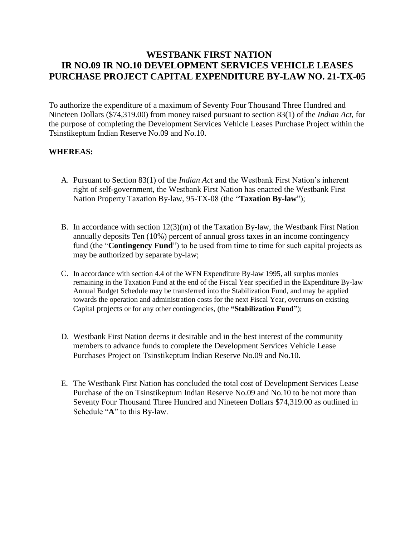# **WESTBANK FIRST NATION IR NO.09 IR NO.10 DEVELOPMENT SERVICES VEHICLE LEASES PURCHASE PROJECT CAPITAL EXPENDITURE BY-LAW NO. 21-TX-05**

To authorize the expenditure of a maximum of Seventy Four Thousand Three Hundred and Nineteen Dollars (\$74,319.00) from money raised pursuant to section 83(1) of the *Indian Act*, for the purpose of completing the Development Services Vehicle Leases Purchase Project within the Tsinstikeptum Indian Reserve No.09 and No.10.

## **WHEREAS:**

- A. Pursuant to Section 83(1) of the *Indian Act* and the Westbank First Nation's inherent right of self-government, the Westbank First Nation has enacted the Westbank First Nation Property Taxation By-law, 95-TX-08 (the "**Taxation By-law**");
- B. In accordance with section 12(3)(m) of the Taxation By-law, the Westbank First Nation annually deposits Ten (10%) percent of annual gross taxes in an income contingency fund (the "**Contingency Fund**") to be used from time to time for such capital projects as may be authorized by separate by-law;
- C. In accordance with section 4.4 of the WFN Expenditure By-law 1995, all surplus monies remaining in the Taxation Fund at the end of the Fiscal Year specified in the Expenditure By-law Annual Budget Schedule may be transferred into the Stabilization Fund, and may be applied towards the operation and administration costs for the next Fiscal Year, overruns on existing Capital projects or for any other contingencies, (the **"Stabilization Fund"**);
- D. Westbank First Nation deems it desirable and in the best interest of the community members to advance funds to complete the Development Services Vehicle Lease Purchases Project on Tsinstikeptum Indian Reserve No.09 and No.10.
- E. The Westbank First Nation has concluded the total cost of Development Services Lease Purchase of the on Tsinstikeptum Indian Reserve No.09 and No.10 to be not more than Seventy Four Thousand Three Hundred and Nineteen Dollars \$74,319.00 as outlined in Schedule "**A**" to this By-law.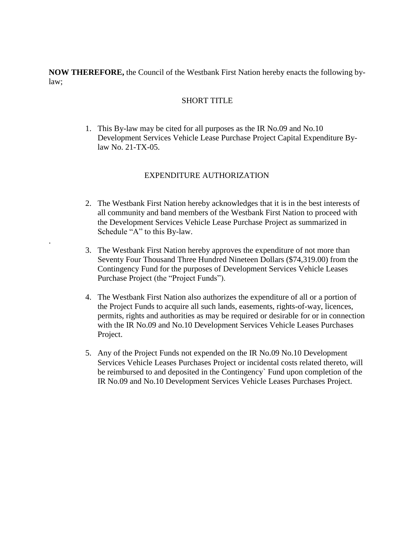**NOW THEREFORE,** the Council of the Westbank First Nation hereby enacts the following bylaw;

### SHORT TITLE

1. This By-law may be cited for all purposes as the IR No.09 and No.10 Development Services Vehicle Lease Purchase Project Capital Expenditure Bylaw No. 21-TX-05.

## EXPENDITURE AUTHORIZATION

.

- 2. The Westbank First Nation hereby acknowledges that it is in the best interests of all community and band members of the Westbank First Nation to proceed with the Development Services Vehicle Lease Purchase Project as summarized in Schedule "A" to this By-law.
- 3. The Westbank First Nation hereby approves the expenditure of not more than Seventy Four Thousand Three Hundred Nineteen Dollars (\$74,319.00) from the Contingency Fund for the purposes of Development Services Vehicle Leases Purchase Project (the "Project Funds").
- 4. The Westbank First Nation also authorizes the expenditure of all or a portion of the Project Funds to acquire all such lands, easements, rights-of-way, licences, permits, rights and authorities as may be required or desirable for or in connection with the IR No.09 and No.10 Development Services Vehicle Leases Purchases Project.
- 5. Any of the Project Funds not expended on the IR No.09 No.10 Development Services Vehicle Leases Purchases Project or incidental costs related thereto, will be reimbursed to and deposited in the Contingency` Fund upon completion of the IR No.09 and No.10 Development Services Vehicle Leases Purchases Project.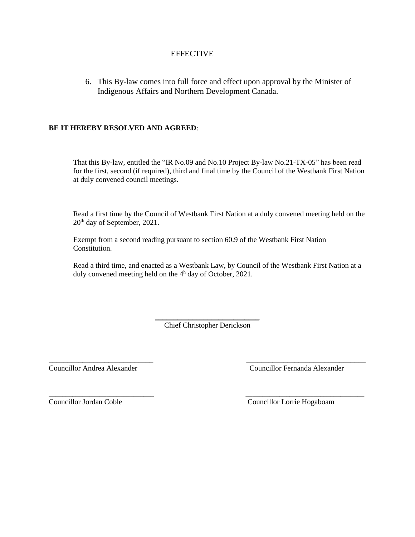## **EFFECTIVE**

6. This By-law comes into full force and effect upon approval by the Minister of Indigenous Affairs and Northern Development Canada.

#### **BE IT HEREBY RESOLVED AND AGREED**:

That this By-law, entitled the "IR No.09 and No.10 Project By-law No.21-TX-05" has been read for the first, second (if required), third and final time by the Council of the Westbank First Nation at duly convened council meetings.

Read a first time by the Council of Westbank First Nation at a duly convened meeting held on the 20th day of September, 2021.

Exempt from a second reading pursuant to section 60.9 of the Westbank First Nation Constitution.

Read a third time, and enacted as a Westbank Law, by Council of the Westbank First Nation at a duly convened meeting held on the 4 <sup>h</sup> day of October, 2021.

> *\_\_\_\_\_\_\_\_\_\_\_\_\_\_\_\_\_\_\_\_\_\_\_\_\_\_\_\_* Chief Christopher Derickson

\_\_\_\_\_\_\_\_\_\_\_\_\_\_\_\_\_\_\_\_\_\_\_\_\_\_\_\_ *\_\_\_\_\_\_\_\_\_\_\_\_\_\_\_\_\_\_\_\_\_\_\_\_\_\_\_\_\_\_\_\_*

\_\_\_\_\_\_\_\_\_\_\_\_\_\_\_\_\_\_\_\_\_\_\_\_\_\_\_\_\_\_\_ \_\_\_\_\_\_\_\_\_\_\_\_\_\_\_\_\_\_\_\_\_\_\_\_\_\_\_\_\_\_\_\_\_\_\_

Councillor Andrea Alexander Councillor Fernanda Alexander

Councillor Jordan Coble Councillor Lorrie Hogaboam